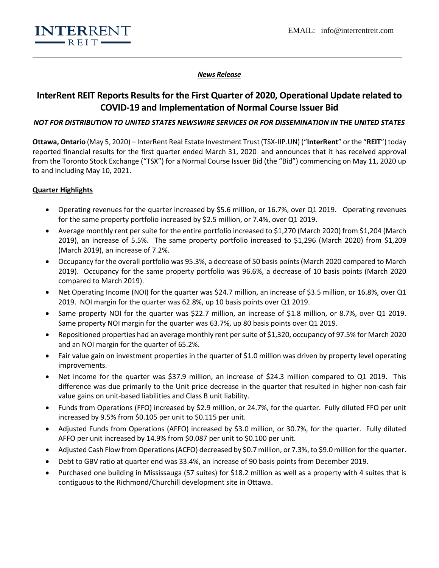

## *News Release*

# **InterRent REIT Reports Results for the First Quarter of 2020, Operational Update related to COVID-19 and Implementation of Normal Course Issuer Bid**

# *NOT FOR DISTRIBUTION TO UNITED STATES NEWSWIRE SERVICES OR FOR DISSEMINATION IN THE UNITED STATES*

**Ottawa, Ontario** (May 5, 2020) – InterRent Real Estate Investment Trust (TSX-IIP.UN) ("**InterRent**" or the "**REIT**")today reported financial results for the first quarter ended March 31, 2020 and announces that it has received approval from the Toronto Stock Exchange ("TSX") for a Normal Course Issuer Bid (the "Bid") commencing on May 11, 2020 up to and including May 10, 2021.

# **Quarter Highlights**

- Operating revenues for the quarter increased by \$5.6 million, or 16.7%, over Q1 2019. Operating revenues for the same property portfolio increased by \$2.5 million, or 7.4%, over Q1 2019.
- Average monthly rent per suite for the entire portfolio increased to \$1,270 (March 2020) from \$1,204 (March 2019), an increase of 5.5%. The same property portfolio increased to \$1,296 (March 2020) from \$1,209 (March 2019), an increase of 7.2%.
- Occupancy for the overall portfolio was 95.3%, a decrease of 50 basis points (March 2020 compared to March 2019). Occupancy for the same property portfolio was 96.6%, a decrease of 10 basis points (March 2020 compared to March 2019).
- Net Operating Income (NOI) for the quarter was \$24.7 million, an increase of \$3.5 million, or 16.8%, over Q1 2019. NOI margin for the quarter was 62.8%, up 10 basis points over Q1 2019.
- Same property NOI for the quarter was \$22.7 million, an increase of \$1.8 million, or 8.7%, over Q1 2019. Same property NOI margin for the quarter was 63.7%, up 80 basis points over Q1 2019.
- Repositioned properties had an average monthly rent per suite of \$1,320, occupancy of 97.5% for March 2020 and an NOI margin for the quarter of 65.2%.
- Fair value gain on investment properties in the quarter of \$1.0 million was driven by property level operating improvements.
- Net income for the quarter was \$37.9 million, an increase of \$24.3 million compared to Q1 2019. This difference was due primarily to the Unit price decrease in the quarter that resulted in higher non-cash fair value gains on unit-based liabilities and Class B unit liability.
- Funds from Operations (FFO) increased by \$2.9 million, or 24.7%, for the quarter. Fully diluted FFO per unit increased by 9.5% from \$0.105 per unit to \$0.115 per unit.
- Adjusted Funds from Operations (AFFO) increased by \$3.0 million, or 30.7%, for the quarter. Fully diluted AFFO per unit increased by 14.9% from \$0.087 per unit to \$0.100 per unit.
- Adjusted Cash Flow from Operations (ACFO) decreased by \$0.7 million, or 7.3%, to \$9.0 million for the quarter.
- Debt to GBV ratio at quarter end was 33.4%, an increase of 90 basis points from December 2019.
- Purchased one building in Mississauga (57 suites) for \$18.2 million as well as a property with 4 suites that is contiguous to the Richmond/Churchill development site in Ottawa.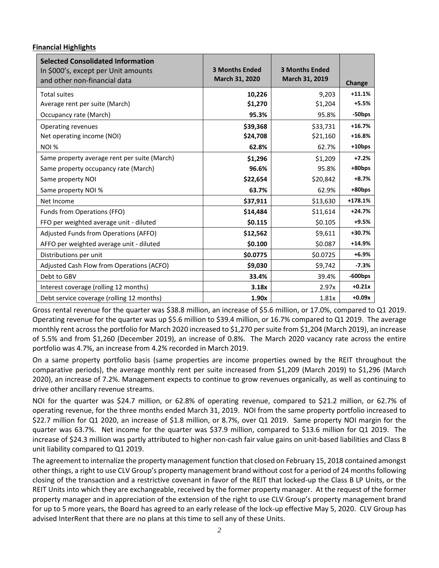# **Financial Highlights**

| <b>Selected Consolidated Information</b><br>In \$000's, except per Unit amounts<br>and other non-financial data | <b>3 Months Ended</b><br>March 31, 2020 | <b>3 Months Ended</b><br>March 31, 2019 | Change     |
|-----------------------------------------------------------------------------------------------------------------|-----------------------------------------|-----------------------------------------|------------|
| <b>Total suites</b>                                                                                             | 10,226                                  | 9,203                                   | $+11.1%$   |
| Average rent per suite (March)                                                                                  | \$1,270                                 | \$1,204                                 | $+5.5%$    |
| Occupancy rate (March)                                                                                          | 95.3%                                   | 95.8%                                   | -50bps     |
| Operating revenues                                                                                              | \$39,368                                | \$33,731                                | $+16.7%$   |
| Net operating income (NOI)                                                                                      | \$24,708                                | \$21,160                                | $+16.8%$   |
| NOI %                                                                                                           | 62.8%                                   | 62.7%                                   | +10bps     |
| Same property average rent per suite (March)                                                                    | \$1,296                                 | \$1,209                                 | $+7.2%$    |
| Same property occupancy rate (March)                                                                            | 96.6%                                   | 95.8%                                   | +80bps     |
| Same property NOI                                                                                               | \$22,654                                | \$20,842                                | $+8.7%$    |
| Same property NOI %                                                                                             | 63.7%                                   | 62.9%                                   | +80bps     |
| Net Income                                                                                                      | \$37,911                                | \$13,630                                | $+178.1%$  |
| Funds from Operations (FFO)                                                                                     | \$14,484                                | \$11,614                                | $+24.7%$   |
| FFO per weighted average unit - diluted                                                                         | \$0.115                                 | \$0.105                                 | $+9.5%$    |
| Adjusted Funds from Operations (AFFO)                                                                           | \$12,562                                | \$9,611                                 | $+30.7%$   |
| AFFO per weighted average unit - diluted                                                                        | \$0.100                                 | \$0.087                                 | $+14.9%$   |
| Distributions per unit                                                                                          | \$0.0775                                | \$0.0725                                | $+6.9%$    |
| Adjusted Cash Flow from Operations (ACFO)                                                                       | \$9,030                                 | \$9,742                                 | $-7.3%$    |
| Debt to GBV                                                                                                     | 33.4%                                   | 39.4%                                   | $-600$ bps |
| Interest coverage (rolling 12 months)                                                                           | 3.18x                                   | 2.97x                                   | $+0.21x$   |
| Debt service coverage (rolling 12 months)                                                                       | 1.90x                                   | 1.81x                                   | $+0.09x$   |

Gross rental revenue for the quarter was \$38.8 million, an increase of \$5.6 million, or 17.0%, compared to Q1 2019. Operating revenue for the quarter was up \$5.6 million to \$39.4 million, or 16.7% compared to Q1 2019. The average monthly rent across the portfolio for March 2020 increased to \$1,270 per suite from \$1,204 (March 2019), an increase of 5.5% and from \$1,260 (December 2019), an increase of 0.8%. The March 2020 vacancy rate across the entire portfolio was 4.7%, an increase from 4.2% recorded in March 2019.

On a same property portfolio basis (same properties are income properties owned by the REIT throughout the comparative periods), the average monthly rent per suite increased from \$1,209 (March 2019) to \$1,296 (March 2020), an increase of 7.2%. Management expects to continue to grow revenues organically, as well as continuing to drive other ancillary revenue streams.

NOI for the quarter was \$24.7 million, or 62.8% of operating revenue, compared to \$21.2 million, or 62.7% of operating revenue, for the three months ended March 31, 2019. NOI from the same property portfolio increased to \$22.7 million for Q1 2020, an increase of \$1.8 million, or 8.7%, over Q1 2019. Same property NOI margin for the quarter was 63.7%. Net income for the quarter was \$37.9 million, compared to \$13.6 million for Q1 2019. The increase of \$24.3 million was partly attributed to higher non-cash fair value gains on unit-based liabilities and Class B unit liability compared to Q1 2019.

The agreement to internalize the property management function that closed on February 15, 2018 contained amongst other things, a right to use CLV Group's property management brand without cost for a period of 24 months following closing of the transaction and a restrictive covenant in favor of the REIT that locked-up the Class B LP Units, or the REIT Units into which they are exchangeable, received by the former property manager. At the request of the former property manager and in appreciation of the extension of the right to use CLV Group's property management brand for up to 5 more years, the Board has agreed to an early release of the lock-up effective May 5, 2020. CLV Group has advised InterRent that there are no plans at this time to sell any of these Units.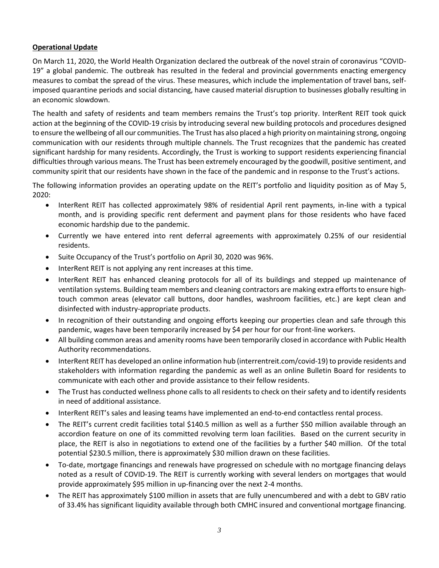# **Operational Update**

On March 11, 2020, the World Health Organization declared the outbreak of the novel strain of coronavirus "COVID-19" a global pandemic. The outbreak has resulted in the federal and provincial governments enacting emergency measures to combat the spread of the virus. These measures, which include the implementation of travel bans, selfimposed quarantine periods and social distancing, have caused material disruption to businesses globally resulting in an economic slowdown.

The health and safety of residents and team members remains the Trust's top priority. InterRent REIT took quick action at the beginning of the COVID-19 crisis by introducing several new building protocols and procedures designed to ensure the wellbeing of all our communities. The Trust has also placed a high priority on maintaining strong, ongoing communication with our residents through multiple channels. The Trust recognizes that the pandemic has created significant hardship for many residents. Accordingly, the Trust is working to support residents experiencing financial difficulties through various means. The Trust has been extremely encouraged by the goodwill, positive sentiment, and community spirit that our residents have shown in the face of the pandemic and in response to the Trust's actions.

The following information provides an operating update on the REIT's portfolio and liquidity position as of May 5, 2020:

- InterRent REIT has collected approximately 98% of residential April rent payments, in-line with a typical month, and is providing specific rent deferment and payment plans for those residents who have faced economic hardship due to the pandemic.
- Currently we have entered into rent deferral agreements with approximately 0.25% of our residential residents.
- Suite Occupancy of the Trust's portfolio on April 30, 2020 was 96%.
- InterRent REIT is not applying any rent increases at this time.
- InterRent REIT has enhanced cleaning protocols for all of its buildings and stepped up maintenance of ventilation systems. Building team members and cleaning contractors are making extra efforts to ensure hightouch common areas (elevator call buttons, door handles, washroom facilities, etc.) are kept clean and disinfected with industry-appropriate products.
- In recognition of their outstanding and ongoing efforts keeping our properties clean and safe through this pandemic, wages have been temporarily increased by \$4 per hour for our front-line workers.
- All building common areas and amenity rooms have been temporarily closed in accordance with Public Health Authority recommendations.
- InterRent REIT has developed an online information hub (interrentreit.com/covid-19) to provide residents and stakeholders with information regarding the pandemic as well as an online Bulletin Board for residents to communicate with each other and provide assistance to their fellow residents.
- The Trust has conducted wellness phone calls to all residents to check on their safety and to identify residents in need of additional assistance.
- InterRent REIT's sales and leasing teams have implemented an end-to-end contactless rental process.
- The REIT's current credit facilities total \$140.5 million as well as a further \$50 million available through an accordion feature on one of its committed revolving term loan facilities. Based on the current security in place, the REIT is also in negotiations to extend one of the facilities by a further \$40 million. Of the total potential \$230.5 million, there is approximately \$30 million drawn on these facilities.
- To-date, mortgage financings and renewals have progressed on schedule with no mortgage financing delays noted as a result of COVID-19. The REIT is currently working with several lenders on mortgages that would provide approximately \$95 million in up-financing over the next 2-4 months.
- The REIT has approximately \$100 million in assets that are fully unencumbered and with a debt to GBV ratio of 33.4% has significant liquidity available through both CMHC insured and conventional mortgage financing.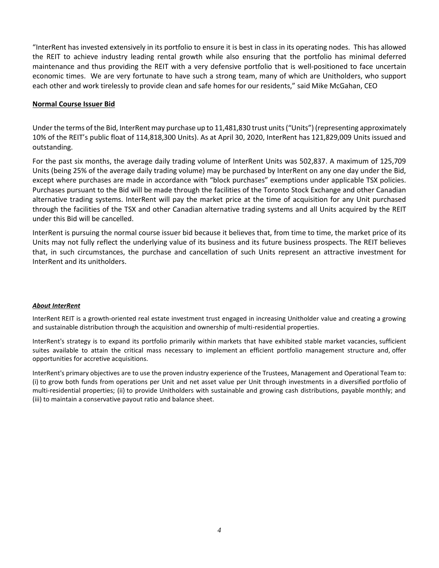"InterRent has invested extensively in its portfolio to ensure it is best in class in its operating nodes. This has allowed the REIT to achieve industry leading rental growth while also ensuring that the portfolio has minimal deferred maintenance and thus providing the REIT with a very defensive portfolio that is well-positioned to face uncertain economic times. We are very fortunate to have such a strong team, many of which are Unitholders, who support each other and work tirelessly to provide clean and safe homes for our residents," said Mike McGahan, CEO

## **Normal Course Issuer Bid**

Under the terms of the Bid, InterRent may purchase up to 11,481,830 trust units ("Units") (representing approximately 10% of the REIT's public float of 114,818,300 Units). As at April 30, 2020, InterRent has 121,829,009 Units issued and outstanding.

For the past six months, the average daily trading volume of InterRent Units was 502,837. A maximum of 125,709 Units (being 25% of the average daily trading volume) may be purchased by InterRent on any one day under the Bid, except where purchases are made in accordance with "block purchases" exemptions under applicable TSX policies. Purchases pursuant to the Bid will be made through the facilities of the Toronto Stock Exchange and other Canadian alternative trading systems. InterRent will pay the market price at the time of acquisition for any Unit purchased through the facilities of the TSX and other Canadian alternative trading systems and all Units acquired by the REIT under this Bid will be cancelled.

InterRent is pursuing the normal course issuer bid because it believes that, from time to time, the market price of its Units may not fully reflect the underlying value of its business and its future business prospects. The REIT believes that, in such circumstances, the purchase and cancellation of such Units represent an attractive investment for InterRent and its unitholders.

### *About InterRent*

InterRent REIT is a growth-oriented real estate investment trust engaged in increasing Unitholder value and creating a growing and sustainable distribution through the acquisition and ownership of multi-residential properties.

InterRent's strategy is to expand its portfolio primarily within markets that have exhibited stable market vacancies, sufficient suites available to attain the critical mass necessary to implement an efficient portfolio management structure and, offer opportunities for accretive acquisitions.

InterRent's primary objectives are to use the proven industry experience of the Trustees, Management and Operational Team to: (i) to grow both funds from operations per Unit and net asset value per Unit through investments in a diversified portfolio of multi-residential properties; (ii) to provide Unitholders with sustainable and growing cash distributions, payable monthly; and (iii) to maintain a conservative payout ratio and balance sheet.